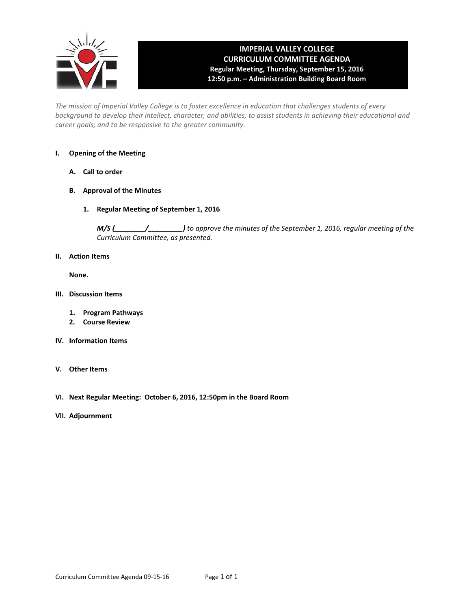

# **IMPERIAL VALLEY COLLEGE CURRICULUM COMMITTEE AGENDA Regular Meeting, Thursday, September 15, 2016 12:50 p.m. – Administration Building Board Room**

*The mission of Imperial Valley College is to foster excellence in education that challenges students of every background to develop their intellect, character, and abilities; to assist students in achieving their educational and career goals; and to be responsive to the greater community.*

#### **I. Opening of the Meeting**

- **A. Call to order**
- **B. Approval of the Minutes**
	- **1. Regular Meeting of September 1, 2016**

*M/S (\_\_\_\_\_\_\_\_/\_\_\_\_\_\_\_\_\_) to approve the minutes of the September 1, 2016, regular meeting of the Curriculum Committee, as presented.* 

**II. Action Items**

**None.**

- **III. Discussion Items**
	- **1. Program Pathways**
	- **2. Course Review**
- **IV. Information Items**
- **V. Other Items**
- **VI. Next Regular Meeting: October 6, 2016, 12:50pm in the Board Room**
- **VII. Adjournment**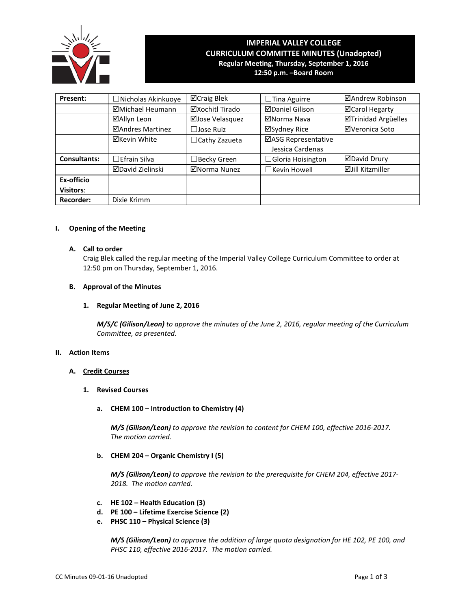

# **IMPERIAL VALLEY COLLEGE CURRICULUM COMMITTEE MINUTES (Unadopted) Regular Meeting, Thursday, September 1, 2016**

**12:50 p.m. –Board Room**

| Present:            | □ Nicholas Akinkuoye    | ⊠Craig Blek          | $\Box$ Tina Aguirre                     | ⊠Andrew Robinson           |
|---------------------|-------------------------|----------------------|-----------------------------------------|----------------------------|
|                     | ⊠Michael Heumann        | ⊠Xochitl Tirado      | <b>ØDaniel Gilison</b>                  | ⊠Carol Hegarty             |
|                     | ⊠Allyn Leon             | ⊠Jose Velasquez      | ⊠Norma Nava                             | <b>⊠Trinidad Argüelles</b> |
|                     | ⊠Andres Martinez        | $\Box$ Jose Ruiz     | ⊠Sydney Rice                            | ⊠Veronica Soto             |
|                     | ⊠Kevin White            | $\Box$ Cathy Zazueta | ⊠ASG Representative<br>Jessica Cardenas |                            |
| <b>Consultants:</b> | $\Box$ Efrain Silva     | $\Box$ Becky Green   | $\Box$ Gloria Hoisington                | ⊠David Drury               |
|                     | <b>ØDavid Zielinski</b> | ⊠Norma Nunez         | □Kevin Howell                           | <b>⊠Jill Kitzmiller</b>    |
| Ex-officio          |                         |                      |                                         |                            |
| <b>Visitors:</b>    |                         |                      |                                         |                            |
| <b>Recorder:</b>    | Dixie Krimm             |                      |                                         |                            |

# **I. Opening of the Meeting**

#### **A. Call to order**

Craig Blek called the regular meeting of the Imperial Valley College Curriculum Committee to order at 12:50 pm on Thursday, September 1, 2016.

### **B. Approval of the Minutes**

# **1. Regular Meeting of June 2, 2016**

*M/S/C (Gilison/Leon) to approve the minutes of the June 2, 2016, regular meeting of the Curriculum Committee, as presented.* 

# **II. Action Items**

# **A. Credit Courses**

#### **1. Revised Courses**

# **a. CHEM 100 – Introduction to Chemistry (4)**

*M/S (Gilison/Leon) to approve the revision to content for CHEM 100, effective 2016-2017. The motion carried.*

#### **b. CHEM 204 – Organic Chemistry I (5)**

*M/S (Gilison/Leon) to approve the revision to the prerequisite for CHEM 204, effective 2017- 2018. The motion carried.*

- **c. HE 102 – Health Education (3)**
- **d. PE 100 – Lifetime Exercise Science (2)**
- **e. PHSC 110 – Physical Science (3)**

*M/S (Gilison/Leon) to approve the addition of large quota designation for HE 102, PE 100, and PHSC 110, effective 2016-2017. The motion carried.*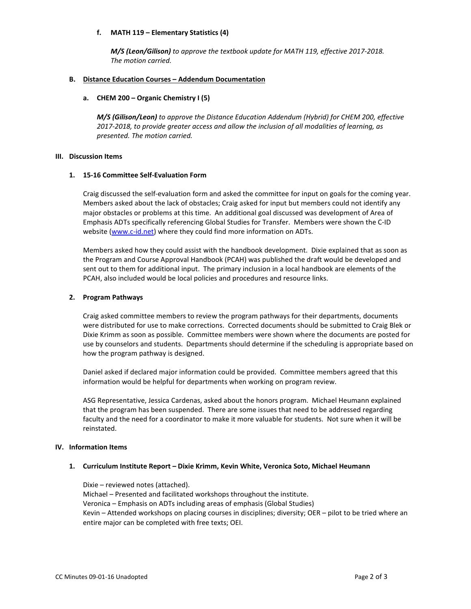# **f. MATH 119 – Elementary Statistics (4)**

*M/S (Leon/Gilison) to approve the textbook update for MATH 119, effective 2017-2018. The motion carried.*

#### **B. Distance Education Courses – Addendum Documentation**

# **a. CHEM 200 – Organic Chemistry I (5)**

*M/S (Gilison/Leon) to approve the Distance Education Addendum (Hybrid) for CHEM 200, effective 2017-2018, to provide greater access and allow the inclusion of all modalities of learning, as presented. The motion carried.*

### **III. Discussion Items**

### **1. 15-16 Committee Self-Evaluation Form**

Craig discussed the self-evaluation form and asked the committee for input on goals for the coming year. Members asked about the lack of obstacles; Craig asked for input but members could not identify any major obstacles or problems at this time. An additional goal discussed was development of Area of Emphasis ADTs specifically referencing Global Studies for Transfer. Members were shown the C-ID website [\(www.c-id.net\)](http://www.c-id.net/) where they could find more information on ADTs.

Members asked how they could assist with the handbook development. Dixie explained that as soon as the Program and Course Approval Handbook (PCAH) was published the draft would be developed and sent out to them for additional input. The primary inclusion in a local handbook are elements of the PCAH, also included would be local policies and procedures and resource links.

### **2. Program Pathways**

Craig asked committee members to review the program pathways for their departments, documents were distributed for use to make corrections. Corrected documents should be submitted to Craig Blek or Dixie Krimm as soon as possible. Committee members were shown where the documents are posted for use by counselors and students. Departments should determine if the scheduling is appropriate based on how the program pathway is designed.

Daniel asked if declared major information could be provided. Committee members agreed that this information would be helpful for departments when working on program review.

ASG Representative, Jessica Cardenas, asked about the honors program. Michael Heumann explained that the program has been suspended. There are some issues that need to be addressed regarding faculty and the need for a coordinator to make it more valuable for students. Not sure when it will be reinstated.

#### **IV. Information Items**

#### **1. Curriculum Institute Report – Dixie Krimm, Kevin White, Veronica Soto, Michael Heumann**

Dixie – reviewed notes (attached). Michael – Presented and facilitated workshops throughout the institute. Veronica – Emphasis on ADTs including areas of emphasis (Global Studies) Kevin – Attended workshops on placing courses in disciplines; diversity; OER – pilot to be tried where an entire major can be completed with free texts; OEI.